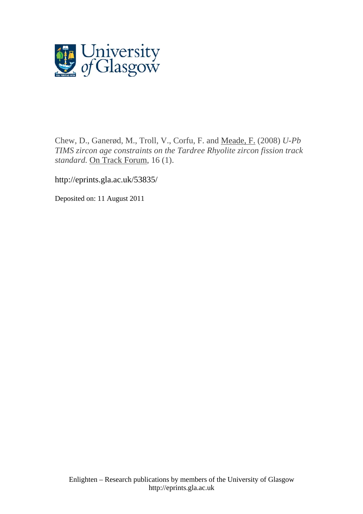

Chew, D., Ganerød, M., Troll, V., Corfu, F. and [Meade, F.](http://eprints.gla.ac.uk/view/author/5838.html) (2008) *U-Pb TIMS zircon age constraints on the Tardree Rhyolite zircon fission track standard.* [On Track Forum,](http://eprints.gla.ac.uk/view/journal_volume/On_Track_Forum.html) 16 (1).

http://eprints.gla.ac.uk/53835/

Deposited on: 11 August 2011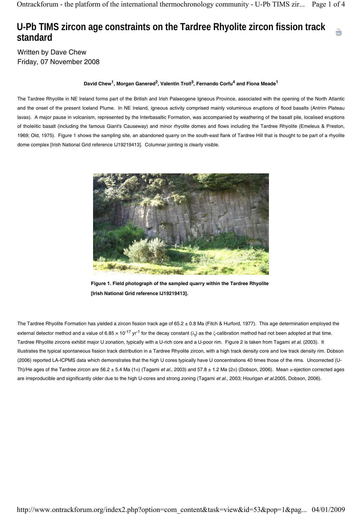## **U-Pb TIMS zircon age constraints on the Tardree Rhyolite zircon fission track standard**

Written by Dave Chew Friday, 07 November 2008

## David Chew<sup>1</sup>, Morgan Ganerød<sup>2</sup>, Valentin Troll<sup>3</sup>, Fernando Corfu<sup>4</sup> and Fiona Meade<sup>1</sup>

The Tardree Rhyolite in NE Ireland forms part of the British and Irish Palaeogene Igneous Province, associated with the opening of the North Atlantic and the onset of the present Iceland Plume. In NE Ireland, igneous activity comprised mainly voluminous eruptions of flood basalts (Antrim Plateau lavas). A major pause in volcanism, represented by the Interbasaltic Formation, was accompanied by weathering of the basalt pile, localised eruptions of tholeiitic basalt (including the famous Giant's Causeway) and minor rhyolite domes and flows including the Tardree Rhyolite (Emeleus & Preston, 1969; Old, 1975). Figure 1 shows the sampling site, an abandoned quarry on the south-east flank of Tardree Hill that is thought to be part of a rhyolite dome complex [Irish National Grid reference IJ19219413]. Columnar jointing is clearly visible.



**Figure 1. Field photograph of the sampled quarry within the Tardree Rhyolite [Irish National Grid reference IJ19219413].**

The Tardree Rhyolite Formation has yielded a zircon fission track age of 65.2 ± 0.8 Ma (Fitch & Hurford, 1977). This age determination employed the external detector method and a value of 6.85 x 10<sup>-17</sup> yr<sup>-1</sup> for the decay constant ( $\lambda$ <sub>f</sub>) as the ζ-calibration method had not been adopted at that time. Tardree Rhyolite zircons exhibit major U zonation, typically with a U-rich core and a U-poor rim. Figure 2 is taken from Tagami *et al.* (2003). It illustrates the typical spontaneous fission track distribution in a Tardree Rhyolite zircon, with a high track density core and low track density rim. Dobson (2006) reported LA-ICPMS data which demonstrates that the high U cores typically have U concentrations 40 times those of the rims. Uncorrected (U-Th)/He ages of the Tardree zircon are 56.2 ± 5.4 Ma (1σ) (Tagami *et al.*, 2003) and 57.8 ± 1.2 Ma (2σ) (Dobson, 2006). Mean α-ejection corrected ages are irreproducible and significantly older due to the high U-cores and strong zoning (Tagami *et al.*, 2003; Hourigan *et al*.2005, Dobson, 2006).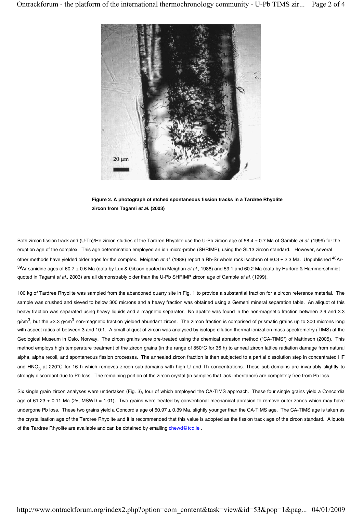

**Figure 2. A photograph of etched spontaneous fission tracks in a Tardree Rhyolite zircon from Tagami** *et al.* **(2003)**

Both zircon fission track and (U-Th)/He zircon studies of the Tardree Rhyolite use the U-Pb zircon age of 58.4 ± 0.7 Ma of Gamble *et al.* (1999) for the eruption age of the complex. This age determination employed an ion micro-probe (SHRIMP), using the SL13 zircon standard. However, several other methods have yielded older ages for the complex. Meighan *et al.* (1988) report a Rb-Sr whole rock isochron of 60.3 ± 2.3 Ma. Unpublished 40Ar-39Ar sanidine ages of 60.7 ± 0.6 Ma (data by Lux & Gibson quoted in Meighan *et al.*, 1988) and 59.1 and 60.2 Ma (data by Hurford & Hammerschmidt quoted in Tagami *et al.*, 2003) are all demonstrably older than the U-Pb SHRIMP zircon age of Gamble *et al.* (1999).

100 kg of Tardree Rhyolite was sampled from the abandoned quarry site in Fig. 1 to provide a substantial fraction for a zircon reference material. The sample was crushed and sieved to below 300 microns and a heavy fraction was obtained using a Gemeni mineral separation table. An aliquot of this heavy fraction was separated using heavy liquids and a magnetic separator. No apatite was found in the non-magnetic fraction between 2.9 and 3.3  $g/cm<sup>3</sup>$ , but the >3.3 g/cm<sup>3</sup> non-magnetic fraction yielded abundant zircon. The zircon fraction is comprised of prismatic grains up to 300 microns long with aspect ratios of between 3 and 10:1. A small aliquot of zircon was analysed by isotope dilution thermal ionization mass spectrometry (TIMS) at the Geological Museum in Oslo, Norway. The zircon grains were pre-treated using the chemical abrasion method ("CA-TIMS") of Mattinson (2005). This method employs high temperature treatment of the zircon grains (in the range of 850°C for 36 h) to anneal zircon lattice radiation damage from natural alpha, alpha recoil, and spontaneous fission processes. The annealed zircon fraction is then subjected to a partial dissolution step in concentrated HF and HNO<sub>3</sub> at 220°C for 16 h which removes zircon sub-domains with high U and Th concentrations. These sub-domains are invariably slightly to strongly discordant due to Pb loss. The remaining portion of the zircon crystal (in samples that lack inheritance) are completely free from Pb loss.

Six single grain zircon analyses were undertaken (Fig. 3), four of which employed the CA-TIMS approach. These four single grains yield a Concordia age of 61.23  $\pm$  0.11 Ma (2 $\sigma$ , MSWD = 1.01). Two grains were treated by conventional mechanical abrasion to remove outer zones which may have undergone Pb loss. These two grains yield a Concordia age of 60.97 ± 0.39 Ma, slightly younger than the CA-TIMS age. The CA-TIMS age is taken as the crystallisation age of the Tardree Rhyolite and it is recommended that this value is adopted as the fission track age of the zircon standard. Aliquots of the Tardree Rhyolite are available and can be obtained by emailing chewd@tcd.ie .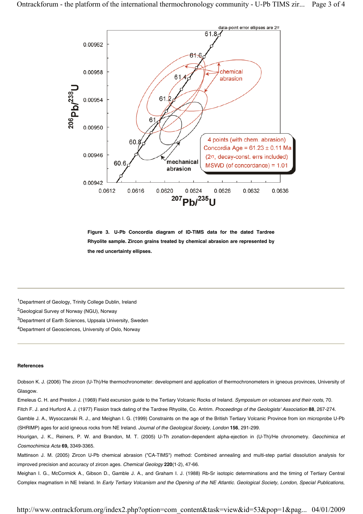

**Figure 3. U-Pb Concordia diagram of ID-TIMS data for the dated Tardree Rhyolite sample. Zircon grains treated by chemical abrasion are represented by the red uncertainty ellipses.**

<sup>1</sup>Department of Geology, Trinity College Dublin, Ireland

2Geological Survey of Norway (NGU), Norway

<sup>3</sup>Department of Earth Sciences, Uppsala University, Sweden

<sup>4</sup>Department of Geosciences, University of Oslo, Norway

## **References**

Dobson K. J. (2006) The zircon (U-Th)/He thermochronometer: development and application of thermochronometers in igneous provinces, University of Glasgow.

Emeleus C. H. and Preston J. (1969) Field excursion guide to the Tertiary Volcanic Rocks of Ireland. *Symposium on volcanoes and their roots*, 70.

Fitch F. J. and Hurford A. J. (1977) Fission track dating of the Tardree Rhyolite, Co. Antrim. *Proceedings of the Geologists' Association* **88**, 267-274.

Gamble J. A., Wysoczanski R. J., and Meighan I. G. (1999) Constraints on the age of the British Tertiary Volcanic Province from ion microprobe U-Pb (SHRIMP) ages for acid igneous rocks from NE Ireland. *Journal of the Geological Society, London* **156**, 291-299.

Hourigan, J. K., Reiners, P. W. and Brandon, M. T. (2005) U-Th zonation-dependent alpha-ejection in (U-Th)/He chronometry. *Geochimica et Cosmochimica Acta* **69,** 3349-3365.

Mattinson J. M. (2005) Zircon U-Pb chemical abrasion ("CA-TIMS") method: Combined annealing and multi-step partial dissolution analysis for improved precision and accuracy of zircon ages. *Chemical Geology* **220**(1-2), 47-66.

Meighan I. G., McCormick A., Gibson D., Gamble J. A., and Graham I. J. (1988) Rb-Sr isotopic determinations and the timing of Tertiary Central Complex magmatism in NE Ireland. In *Early Tertiary Volcanism and the Opening of the NE Atlantic. Geological Society, London, Special Publications*,